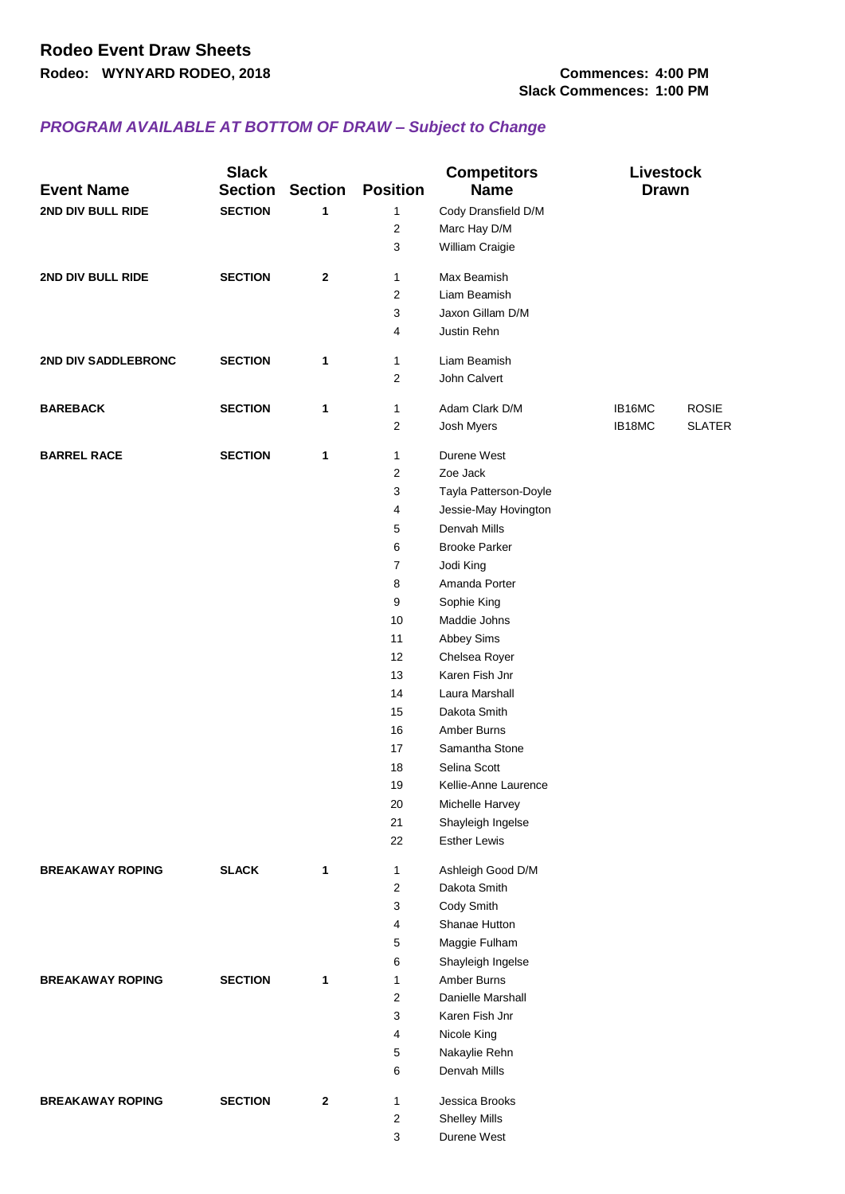## *PROGRAM AVAILABLE AT BOTTOM OF DRAW – Subject to Change*

| <b>Event Name</b>       | <b>Slack</b><br><b>Section</b> | <b>Section</b> | <b>Position</b>  | <b>Competitors</b><br><b>Name</b> | <b>Livestock</b><br><b>Drawn</b> |               |
|-------------------------|--------------------------------|----------------|------------------|-----------------------------------|----------------------------------|---------------|
| 2ND DIV BULL RIDE       | <b>SECTION</b>                 | 1              | 1                | Cody Dransfield D/M               |                                  |               |
|                         |                                |                | $\boldsymbol{2}$ | Marc Hay D/M                      |                                  |               |
|                         |                                |                | 3                | William Craigie                   |                                  |               |
| 2ND DIV BULL RIDE       | <b>SECTION</b>                 | $\mathbf{2}$   | 1                | Max Beamish                       |                                  |               |
|                         |                                |                | $\overline{2}$   | Liam Beamish                      |                                  |               |
|                         |                                |                | 3                | Jaxon Gillam D/M                  |                                  |               |
|                         |                                |                | 4                | Justin Rehn                       |                                  |               |
|                         |                                |                |                  |                                   |                                  |               |
| 2ND DIV SADDLEBRONC     | <b>SECTION</b>                 | 1              | 1                | Liam Beamish                      |                                  |               |
|                         |                                |                | $\mathbf{2}$     | John Calvert                      |                                  |               |
| <b>BAREBACK</b>         | <b>SECTION</b>                 | 1              | $\mathbf{1}$     | Adam Clark D/M                    | IB16MC                           | <b>ROSIE</b>  |
|                         |                                |                | $\boldsymbol{2}$ | Josh Myers                        | IB18MC                           | <b>SLATER</b> |
| <b>BARREL RACE</b>      | <b>SECTION</b>                 | 1              | 1                | Durene West                       |                                  |               |
|                         |                                |                | 2                | Zoe Jack                          |                                  |               |
|                         |                                |                | $\mathsf 3$      | Tayla Patterson-Doyle             |                                  |               |
|                         |                                |                | 4                | Jessie-May Hovington              |                                  |               |
|                         |                                |                | $\mathbf 5$      | Denvah Mills                      |                                  |               |
|                         |                                |                | 6                | <b>Brooke Parker</b>              |                                  |               |
|                         |                                |                | 7                | Jodi King                         |                                  |               |
|                         |                                |                | 8                | Amanda Porter                     |                                  |               |
|                         |                                |                | 9                | Sophie King                       |                                  |               |
|                         |                                |                | 10               | Maddie Johns                      |                                  |               |
|                         |                                |                | 11               | Abbey Sims                        |                                  |               |
|                         |                                |                | 12               | Chelsea Royer                     |                                  |               |
|                         |                                |                | 13               | Karen Fish Jnr                    |                                  |               |
|                         |                                |                | 14               | Laura Marshall                    |                                  |               |
|                         |                                |                | 15               | Dakota Smith                      |                                  |               |
|                         |                                |                | 16               | <b>Amber Burns</b>                |                                  |               |
|                         |                                |                | 17               | Samantha Stone                    |                                  |               |
|                         |                                |                | 18               | Selina Scott                      |                                  |               |
|                         |                                |                | 19               | Kellie-Anne Laurence              |                                  |               |
|                         |                                |                | 20               | Michelle Harvey                   |                                  |               |
|                         |                                |                | 21               | Shayleigh Ingelse                 |                                  |               |
|                         |                                |                | 22               | <b>Esther Lewis</b>               |                                  |               |
|                         |                                |                |                  |                                   |                                  |               |
| <b>BREAKAWAY ROPING</b> | <b>SLACK</b>                   | 1              | 1                | Ashleigh Good D/M                 |                                  |               |
|                         |                                |                | 2                | Dakota Smith                      |                                  |               |
|                         |                                |                | 3                | Cody Smith                        |                                  |               |
|                         |                                |                | 4                | Shanae Hutton                     |                                  |               |
|                         |                                |                | 5                | Maggie Fulham                     |                                  |               |
|                         |                                |                | 6                | Shayleigh Ingelse                 |                                  |               |
| <b>BREAKAWAY ROPING</b> | <b>SECTION</b>                 | 1              | 1                | Amber Burns                       |                                  |               |
|                         |                                |                | $\boldsymbol{2}$ | Danielle Marshall                 |                                  |               |
|                         |                                |                | 3                | Karen Fish Jnr                    |                                  |               |
|                         |                                |                | 4                | Nicole King                       |                                  |               |
|                         |                                |                | 5                | Nakaylie Rehn                     |                                  |               |
|                         |                                |                | 6                | Denvah Mills                      |                                  |               |
| <b>BREAKAWAY ROPING</b> | <b>SECTION</b>                 | 2              | 1                | Jessica Brooks                    |                                  |               |
|                         |                                |                | $\mathbf{2}$     | <b>Shelley Mills</b>              |                                  |               |
|                         |                                |                | 3                | Durene West                       |                                  |               |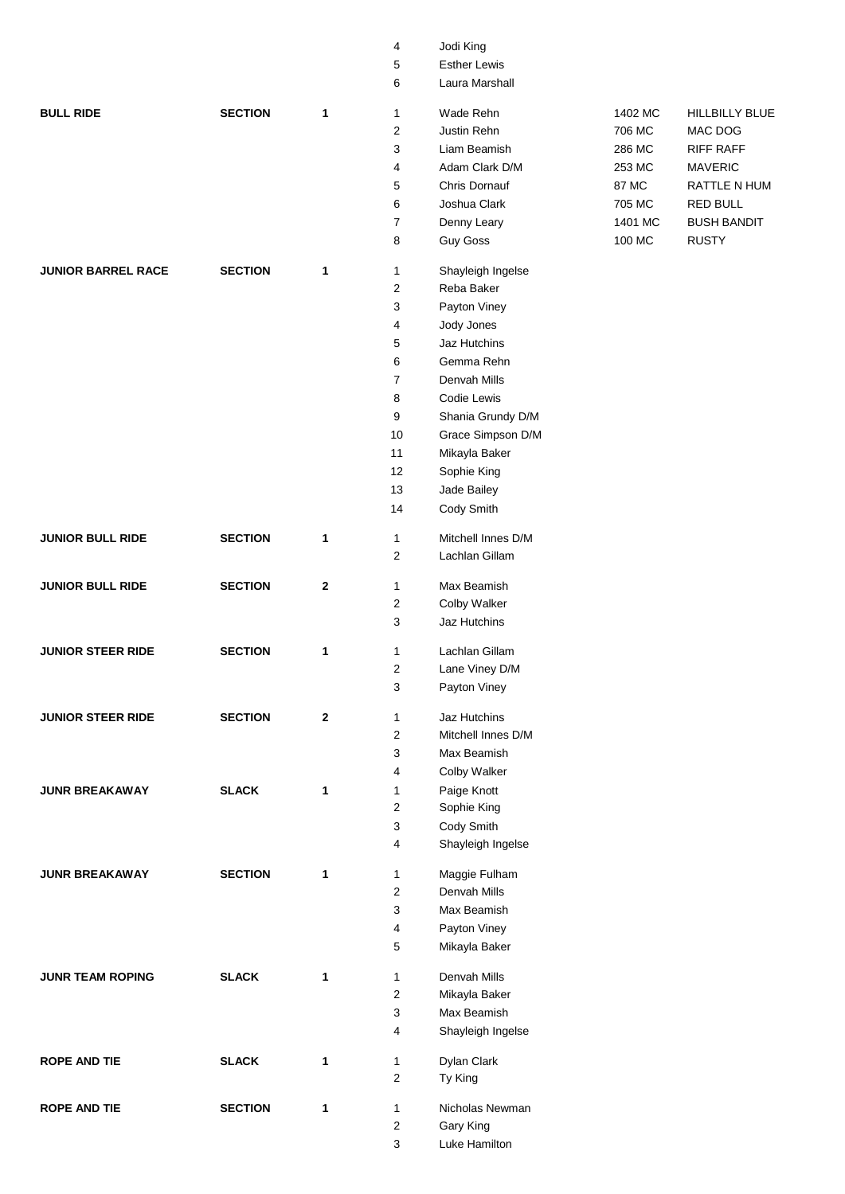|                           |                |              | 4                       | Jodi King            |         |                    |
|---------------------------|----------------|--------------|-------------------------|----------------------|---------|--------------------|
|                           |                |              | 5                       | <b>Esther Lewis</b>  |         |                    |
|                           |                |              | 6                       | Laura Marshall       |         |                    |
| <b>BULL RIDE</b>          | <b>SECTION</b> | 1            | $\mathbf{1}$            | Wade Rehn            | 1402 MC | HILLBILLY BLUE     |
|                           |                |              | 2                       | Justin Rehn          | 706 MC  | MAC DOG            |
|                           |                |              | 3                       | Liam Beamish         | 286 MC  | <b>RIFF RAFF</b>   |
|                           |                |              | 4                       | Adam Clark D/M       | 253 MC  | <b>MAVERIC</b>     |
|                           |                |              | 5                       | <b>Chris Dornauf</b> | 87 MC   | RATTLE N HUM       |
|                           |                |              | 6                       | Joshua Clark         | 705 MC  | <b>RED BULL</b>    |
|                           |                |              | $\overline{7}$          | Denny Leary          | 1401 MC | <b>BUSH BANDIT</b> |
|                           |                |              | 8                       | <b>Guy Goss</b>      | 100 MC  | <b>RUSTY</b>       |
|                           |                |              |                         |                      |         |                    |
| <b>JUNIOR BARREL RACE</b> | <b>SECTION</b> | 1            | 1                       | Shayleigh Ingelse    |         |                    |
|                           |                |              | $\overline{c}$          | Reba Baker           |         |                    |
|                           |                |              | 3                       | Payton Viney         |         |                    |
|                           |                |              | 4                       | Jody Jones           |         |                    |
|                           |                |              | 5                       | Jaz Hutchins         |         |                    |
|                           |                |              | 6                       | Gemma Rehn           |         |                    |
|                           |                |              | $\overline{7}$          | Denvah Mills         |         |                    |
|                           |                |              | 8                       | Codie Lewis          |         |                    |
|                           |                |              | 9                       | Shania Grundy D/M    |         |                    |
|                           |                |              | 10                      | Grace Simpson D/M    |         |                    |
|                           |                |              | 11                      | Mikayla Baker        |         |                    |
|                           |                |              | 12                      | Sophie King          |         |                    |
|                           |                |              | 13                      | Jade Bailey          |         |                    |
|                           |                |              | 14                      | Cody Smith           |         |                    |
|                           |                |              |                         |                      |         |                    |
| <b>JUNIOR BULL RIDE</b>   | <b>SECTION</b> | 1            | $\mathbf{1}$            | Mitchell Innes D/M   |         |                    |
|                           |                |              | $\overline{c}$          | Lachlan Gillam       |         |                    |
| <b>JUNIOR BULL RIDE</b>   | <b>SECTION</b> | $\mathbf{2}$ | $\mathbf{1}$            | Max Beamish          |         |                    |
|                           |                |              | $\overline{\mathbf{c}}$ | <b>Colby Walker</b>  |         |                    |
|                           |                |              | 3                       | Jaz Hutchins         |         |                    |
| <b>JUNIOR STEER RIDE</b>  | <b>SECTION</b> | 1            | 1                       | Lachlan Gillam       |         |                    |
|                           |                |              | $\overline{\mathbf{c}}$ | Lane Viney D/M       |         |                    |
|                           |                |              | 3                       | Payton Viney         |         |                    |
|                           |                |              |                         |                      |         |                    |
| <b>JUNIOR STEER RIDE</b>  | <b>SECTION</b> | $\mathbf{2}$ | $\mathbf{1}$            | Jaz Hutchins         |         |                    |
|                           |                |              | $\overline{c}$          | Mitchell Innes D/M   |         |                    |
|                           |                |              | 3                       | Max Beamish          |         |                    |
|                           |                |              | 4                       | Colby Walker         |         |                    |
| <b>JUNR BREAKAWAY</b>     | <b>SLACK</b>   | 1            | 1                       | Paige Knott          |         |                    |
|                           |                |              | $\overline{\mathbf{c}}$ | Sophie King          |         |                    |
|                           |                |              | 3                       | Cody Smith           |         |                    |
|                           |                |              | 4                       | Shayleigh Ingelse    |         |                    |
| <b>JUNR BREAKAWAY</b>     | <b>SECTION</b> | 1            | $\mathbf{1}$            | Maggie Fulham        |         |                    |
|                           |                |              | $\overline{c}$          | Denvah Mills         |         |                    |
|                           |                |              | 3                       | Max Beamish          |         |                    |
|                           |                |              | 4                       | Payton Viney         |         |                    |
|                           |                |              | 5                       | Mikayla Baker        |         |                    |
| <b>JUNR TEAM ROPING</b>   | <b>SLACK</b>   | 1            | $\mathbf{1}$            | Denvah Mills         |         |                    |
|                           |                |              | $\overline{c}$          | Mikayla Baker        |         |                    |
|                           |                |              | 3                       | Max Beamish          |         |                    |
|                           |                |              | 4                       | Shayleigh Ingelse    |         |                    |
|                           |                |              |                         |                      |         |                    |
| <b>ROPE AND TIE</b>       | <b>SLACK</b>   | $\mathbf 1$  | 1                       | Dylan Clark          |         |                    |
|                           |                |              | $\overline{c}$          | Ty King              |         |                    |
| <b>ROPE AND TIE</b>       | <b>SECTION</b> | 1            | $\mathbf{1}$            | Nicholas Newman      |         |                    |
|                           |                |              | $\overline{\mathbf{c}}$ | Gary King            |         |                    |
|                           |                |              | 3                       | Luke Hamilton        |         |                    |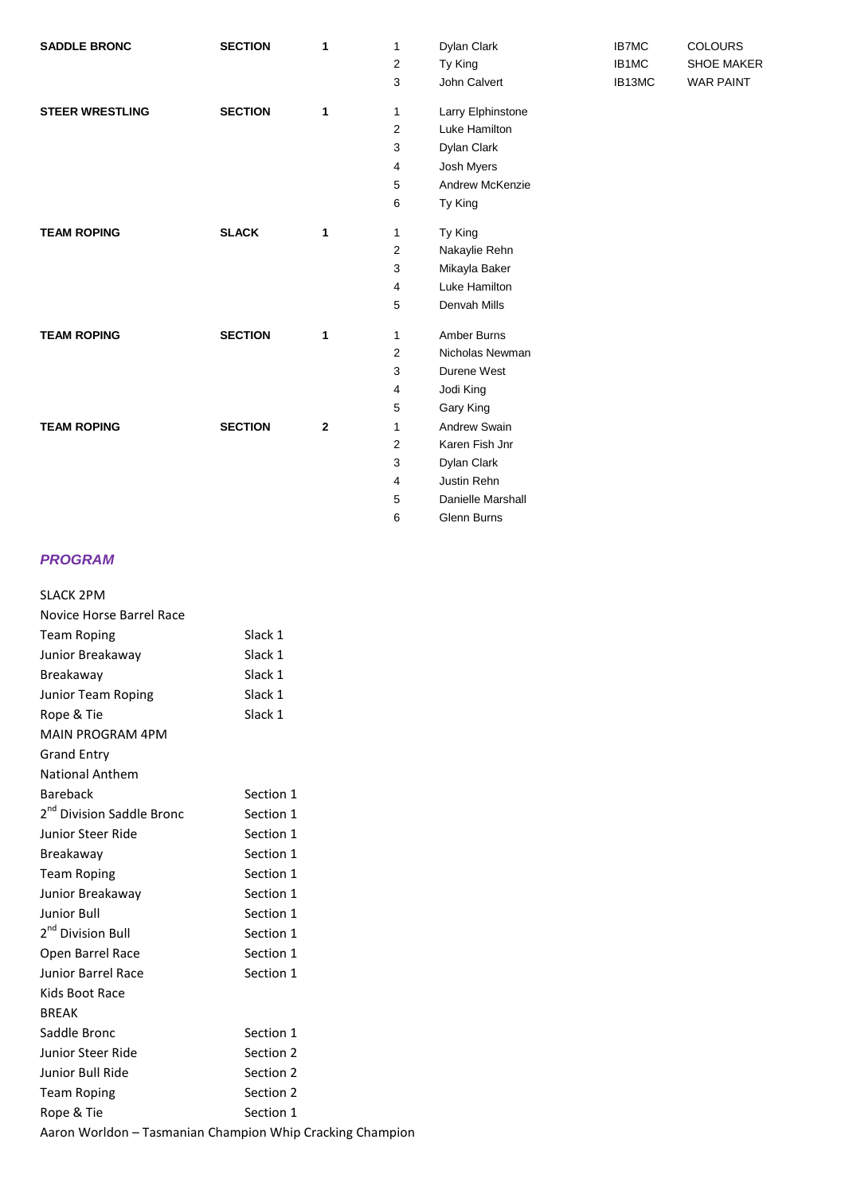| <b>SADDLE BRONC</b>    | <b>SECTION</b> | 1            | 1                       | Dylan Clark       | IB7MC  | <b>COLOURS</b>    |
|------------------------|----------------|--------------|-------------------------|-------------------|--------|-------------------|
|                        |                |              | 2                       | Ty King           | IB1MC  | <b>SHOE MAKER</b> |
|                        |                |              | 3                       | John Calvert      | IB13MC | <b>WAR PAINT</b>  |
| <b>STEER WRESTLING</b> | <b>SECTION</b> | 1            | 1                       | Larry Elphinstone |        |                   |
|                        |                |              | $\overline{2}$          | Luke Hamilton     |        |                   |
|                        |                |              | 3                       | Dylan Clark       |        |                   |
|                        |                |              | 4                       | Josh Myers        |        |                   |
|                        |                |              | 5                       | Andrew McKenzie   |        |                   |
|                        |                |              | 6                       | Ty King           |        |                   |
| <b>TEAM ROPING</b>     | <b>SLACK</b>   | 1            | 1                       | Ty King           |        |                   |
|                        |                |              | $\overline{\mathbf{c}}$ | Nakaylie Rehn     |        |                   |
|                        |                |              | 3                       | Mikayla Baker     |        |                   |
|                        |                |              | 4                       | Luke Hamilton     |        |                   |
|                        |                |              | 5                       | Denvah Mills      |        |                   |
| <b>TEAM ROPING</b>     | <b>SECTION</b> | $\mathbf{1}$ | 1                       | Amber Burns       |        |                   |
|                        |                |              | $\overline{2}$          | Nicholas Newman   |        |                   |
|                        |                |              | 3                       | Durene West       |        |                   |
|                        |                |              | 4                       | Jodi King         |        |                   |
|                        |                |              | 5                       | Gary King         |        |                   |
| <b>TEAM ROPING</b>     | <b>SECTION</b> | $\mathbf{2}$ | 1                       | Andrew Swain      |        |                   |
|                        |                |              | $\overline{2}$          | Karen Fish Jnr    |        |                   |
|                        |                |              | 3                       | Dylan Clark       |        |                   |
|                        |                |              | 4                       | Justin Rehn       |        |                   |
|                        |                |              | 5                       | Danielle Marshall |        |                   |
|                        |                |              | 6                       | Glenn Burns       |        |                   |

## *PROGRAM*

|                                                           | <b>SLACK 2PM</b>                      |           |  |  |
|-----------------------------------------------------------|---------------------------------------|-----------|--|--|
|                                                           | Novice Horse Barrel Race              |           |  |  |
|                                                           | <b>Team Roping</b>                    | Slack 1   |  |  |
|                                                           | Junior Breakaway                      | Slack 1   |  |  |
|                                                           | Breakaway                             | Slack 1   |  |  |
|                                                           | Junior Team Roping                    | Slack 1   |  |  |
|                                                           | Rope & Tie                            | Slack 1   |  |  |
|                                                           | <b>MAIN PROGRAM 4PM</b>               |           |  |  |
|                                                           | <b>Grand Entry</b>                    |           |  |  |
|                                                           | <b>National Anthem</b>                |           |  |  |
|                                                           | <b>Bareback</b>                       | Section 1 |  |  |
|                                                           | 2 <sup>nd</sup> Division Saddle Bronc | Section 1 |  |  |
|                                                           | Junior Steer Ride                     | Section 1 |  |  |
|                                                           | Breakaway                             | Section 1 |  |  |
|                                                           | <b>Team Roping</b>                    | Section 1 |  |  |
|                                                           | Junior Breakaway                      | Section 1 |  |  |
|                                                           | Junior Bull                           | Section 1 |  |  |
|                                                           | 2 <sup>nd</sup> Division Bull         | Section 1 |  |  |
|                                                           | Open Barrel Race                      | Section 1 |  |  |
|                                                           | <b>Junior Barrel Race</b>             | Section 1 |  |  |
|                                                           | Kids Boot Race                        |           |  |  |
| <b>BREAK</b>                                              |                                       |           |  |  |
|                                                           | Saddle Bronc                          | Section 1 |  |  |
|                                                           | Junior Steer Ride                     | Section 2 |  |  |
|                                                           | Junior Bull Ride                      | Section 2 |  |  |
|                                                           | <b>Team Roping</b>                    | Section 2 |  |  |
|                                                           | Rope & Tie                            | Section 1 |  |  |
| Aaron Worldon - Tasmanian Champion Whip Cracking Champion |                                       |           |  |  |
|                                                           |                                       |           |  |  |